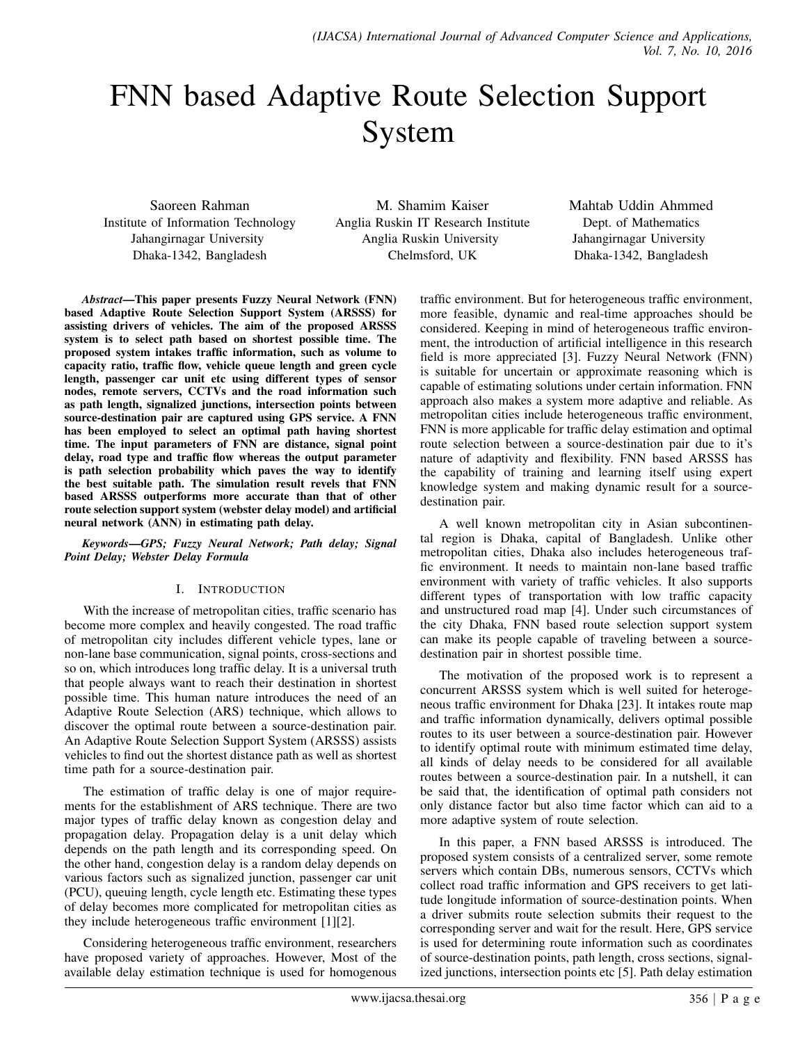# FNN based Adaptive Route Selection Support System

Saoreen Rahman Institute of Information Technology Jahangirnagar University Dhaka-1342, Bangladesh

M. Shamim Kaiser Anglia Ruskin IT Research Institute Anglia Ruskin University Chelmsford, UK

Mahtab Uddin Ahmmed Dept. of Mathematics Jahangirnagar University Dhaka-1342, Bangladesh

*Abstract*—This paper presents Fuzzy Neural Network (FNN) based Adaptive Route Selection Support System (ARSSS) for assisting drivers of vehicles. The aim of the proposed ARSSS system is to select path based on shortest possible time. The proposed system intakes traffic information, such as volume to capacity ratio, traffic flow, vehicle queue length and green cycle length, passenger car unit etc using different types of sensor nodes, remote servers, CCTVs and the road information such as path length, signalized junctions, intersection points between source-destination pair are captured using GPS service. A FNN has been employed to select an optimal path having shortest time. The input parameters of FNN are distance, signal point delay, road type and traffic flow whereas the output parameter is path selection probability which paves the way to identify the best suitable path. The simulation result revels that FNN based ARSSS outperforms more accurate than that of other route selection support system (webster delay model) and artificial neural network (ANN) in estimating path delay.

*Keywords*—*GPS; Fuzzy Neural Network; Path delay; Signal Point Delay; Webster Delay Formula*

# I. INTRODUCTION

With the increase of metropolitan cities, traffic scenario has become more complex and heavily congested. The road traffic of metropolitan city includes different vehicle types, lane or non-lane base communication, signal points, cross-sections and so on, which introduces long traffic delay. It is a universal truth that people always want to reach their destination in shortest possible time. This human nature introduces the need of an Adaptive Route Selection (ARS) technique, which allows to discover the optimal route between a source-destination pair. An Adaptive Route Selection Support System (ARSSS) assists vehicles to find out the shortest distance path as well as shortest time path for a source-destination pair.

The estimation of traffic delay is one of major requirements for the establishment of ARS technique. There are two major types of traffic delay known as congestion delay and propagation delay. Propagation delay is a unit delay which depends on the path length and its corresponding speed. On the other hand, congestion delay is a random delay depends on various factors such as signalized junction, passenger car unit (PCU), queuing length, cycle length etc. Estimating these types of delay becomes more complicated for metropolitan cities as they include heterogeneous traffic environment [1][2].

Considering heterogeneous traffic environment, researchers have proposed variety of approaches. However, Most of the available delay estimation technique is used for homogenous

traffic environment. But for heterogeneous traffic environment, more feasible, dynamic and real-time approaches should be considered. Keeping in mind of heterogeneous traffic environment, the introduction of artificial intelligence in this research field is more appreciated [3]. Fuzzy Neural Network (FNN) is suitable for uncertain or approximate reasoning which is capable of estimating solutions under certain information. FNN approach also makes a system more adaptive and reliable. As metropolitan cities include heterogeneous traffic environment, FNN is more applicable for traffic delay estimation and optimal route selection between a source-destination pair due to it's nature of adaptivity and flexibility. FNN based ARSSS has the capability of training and learning itself using expert knowledge system and making dynamic result for a sourcedestination pair.

A well known metropolitan city in Asian subcontinental region is Dhaka, capital of Bangladesh. Unlike other metropolitan cities, Dhaka also includes heterogeneous traffic environment. It needs to maintain non-lane based traffic environment with variety of traffic vehicles. It also supports different types of transportation with low traffic capacity and unstructured road map [4]. Under such circumstances of the city Dhaka, FNN based route selection support system can make its people capable of traveling between a sourcedestination pair in shortest possible time.

The motivation of the proposed work is to represent a concurrent ARSSS system which is well suited for heterogeneous traffic environment for Dhaka [23]. It intakes route map and traffic information dynamically, delivers optimal possible routes to its user between a source-destination pair. However to identify optimal route with minimum estimated time delay, all kinds of delay needs to be considered for all available routes between a source-destination pair. In a nutshell, it can be said that, the identification of optimal path considers not only distance factor but also time factor which can aid to a more adaptive system of route selection.

In this paper, a FNN based ARSSS is introduced. The proposed system consists of a centralized server, some remote servers which contain DBs, numerous sensors, CCTVs which collect road traffic information and GPS receivers to get latitude longitude information of source-destination points. When a driver submits route selection submits their request to the corresponding server and wait for the result. Here, GPS service is used for determining route information such as coordinates of source-destination points, path length, cross sections, signalized junctions, intersection points etc [5]. Path delay estimation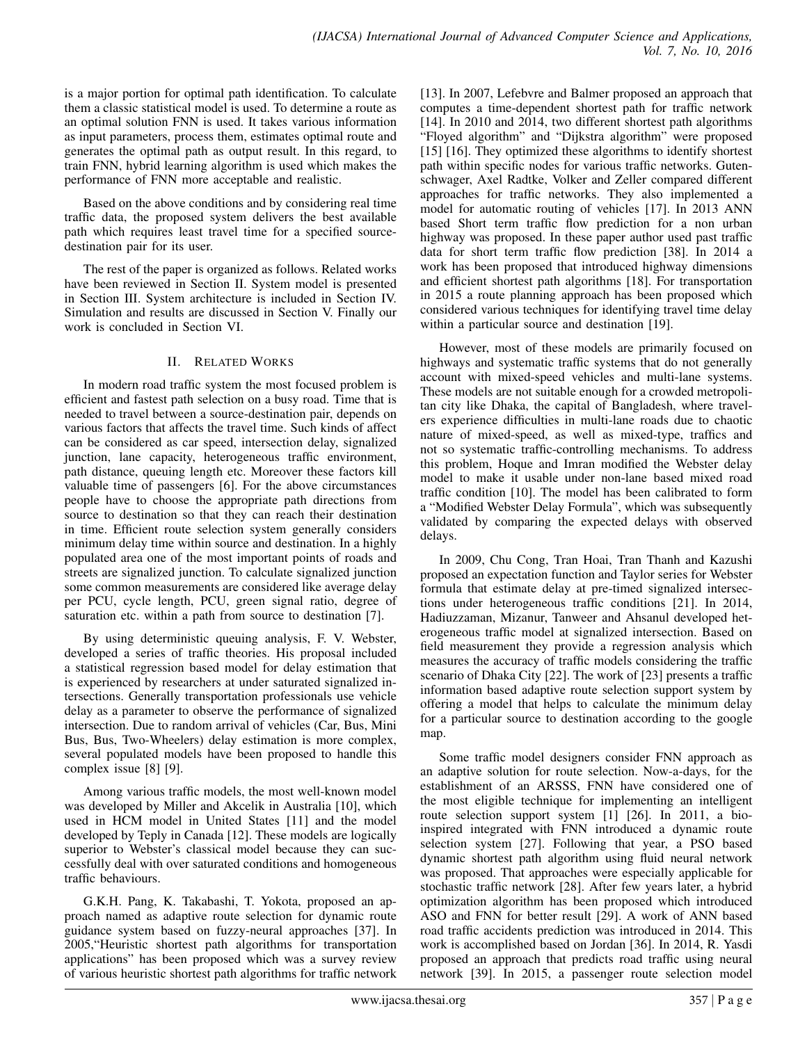is a major portion for optimal path identification. To calculate them a classic statistical model is used. To determine a route as an optimal solution FNN is used. It takes various information as input parameters, process them, estimates optimal route and generates the optimal path as output result. In this regard, to train FNN, hybrid learning algorithm is used which makes the performance of FNN more acceptable and realistic.

Based on the above conditions and by considering real time traffic data, the proposed system delivers the best available path which requires least travel time for a specified sourcedestination pair for its user.

The rest of the paper is organized as follows. Related works have been reviewed in Section II. System model is presented in Section III. System architecture is included in Section IV. Simulation and results are discussed in Section V. Finally our work is concluded in Section VI.

# II. RELATED WORKS

In modern road traffic system the most focused problem is efficient and fastest path selection on a busy road. Time that is needed to travel between a source-destination pair, depends on various factors that affects the travel time. Such kinds of affect can be considered as car speed, intersection delay, signalized junction, lane capacity, heterogeneous traffic environment, path distance, queuing length etc. Moreover these factors kill valuable time of passengers [6]. For the above circumstances people have to choose the appropriate path directions from source to destination so that they can reach their destination in time. Efficient route selection system generally considers minimum delay time within source and destination. In a highly populated area one of the most important points of roads and streets are signalized junction. To calculate signalized junction some common measurements are considered like average delay per PCU, cycle length, PCU, green signal ratio, degree of saturation etc. within a path from source to destination [7].

By using deterministic queuing analysis, F. V. Webster, developed a series of traffic theories. His proposal included a statistical regression based model for delay estimation that is experienced by researchers at under saturated signalized intersections. Generally transportation professionals use vehicle delay as a parameter to observe the performance of signalized intersection. Due to random arrival of vehicles (Car, Bus, Mini Bus, Bus, Two-Wheelers) delay estimation is more complex, several populated models have been proposed to handle this complex issue [8] [9].

Among various traffic models, the most well-known model was developed by Miller and Akcelik in Australia [10], which used in HCM model in United States [11] and the model developed by Teply in Canada [12]. These models are logically superior to Webster's classical model because they can successfully deal with over saturated conditions and homogeneous traffic behaviours.

G.K.H. Pang, K. Takabashi, T. Yokota, proposed an approach named as adaptive route selection for dynamic route guidance system based on fuzzy-neural approaches [37]. In 2005,"Heuristic shortest path algorithms for transportation applications" has been proposed which was a survey review of various heuristic shortest path algorithms for traffic network [13]. In 2007, Lefebvre and Balmer proposed an approach that computes a time-dependent shortest path for traffic network [14]. In 2010 and 2014, two different shortest path algorithms "Floyed algorithm" and "Dijkstra algorithm" were proposed [15] [16]. They optimized these algorithms to identify shortest path within specific nodes for various traffic networks. Gutenschwager, Axel Radtke, Volker and Zeller compared different approaches for traffic networks. They also implemented a model for automatic routing of vehicles [17]. In 2013 ANN based Short term traffic flow prediction for a non urban highway was proposed. In these paper author used past traffic data for short term traffic flow prediction [38]. In 2014 a work has been proposed that introduced highway dimensions and efficient shortest path algorithms [18]. For transportation in 2015 a route planning approach has been proposed which considered various techniques for identifying travel time delay within a particular source and destination [19].

However, most of these models are primarily focused on highways and systematic traffic systems that do not generally account with mixed-speed vehicles and multi-lane systems. These models are not suitable enough for a crowded metropolitan city like Dhaka, the capital of Bangladesh, where travelers experience difficulties in multi-lane roads due to chaotic nature of mixed-speed, as well as mixed-type, traffics and not so systematic traffic-controlling mechanisms. To address this problem, Hoque and Imran modified the Webster delay model to make it usable under non-lane based mixed road traffic condition [10]. The model has been calibrated to form a "Modified Webster Delay Formula", which was subsequently validated by comparing the expected delays with observed delays.

In 2009, Chu Cong, Tran Hoai, Tran Thanh and Kazushi proposed an expectation function and Taylor series for Webster formula that estimate delay at pre-timed signalized intersections under heterogeneous traffic conditions [21]. In 2014, Hadiuzzaman, Mizanur, Tanweer and Ahsanul developed heterogeneous traffic model at signalized intersection. Based on field measurement they provide a regression analysis which measures the accuracy of traffic models considering the traffic scenario of Dhaka City [22]. The work of [23] presents a traffic information based adaptive route selection support system by offering a model that helps to calculate the minimum delay for a particular source to destination according to the google map.

Some traffic model designers consider FNN approach as an adaptive solution for route selection. Now-a-days, for the establishment of an ARSSS, FNN have considered one of the most eligible technique for implementing an intelligent route selection support system [1] [26]. In 2011, a bioinspired integrated with FNN introduced a dynamic route selection system [27]. Following that year, a PSO based dynamic shortest path algorithm using fluid neural network was proposed. That approaches were especially applicable for stochastic traffic network [28]. After few years later, a hybrid optimization algorithm has been proposed which introduced ASO and FNN for better result [29]. A work of ANN based road traffic accidents prediction was introduced in 2014. This work is accomplished based on Jordan [36]. In 2014, R. Yasdi proposed an approach that predicts road traffic using neural network [39]. In 2015, a passenger route selection model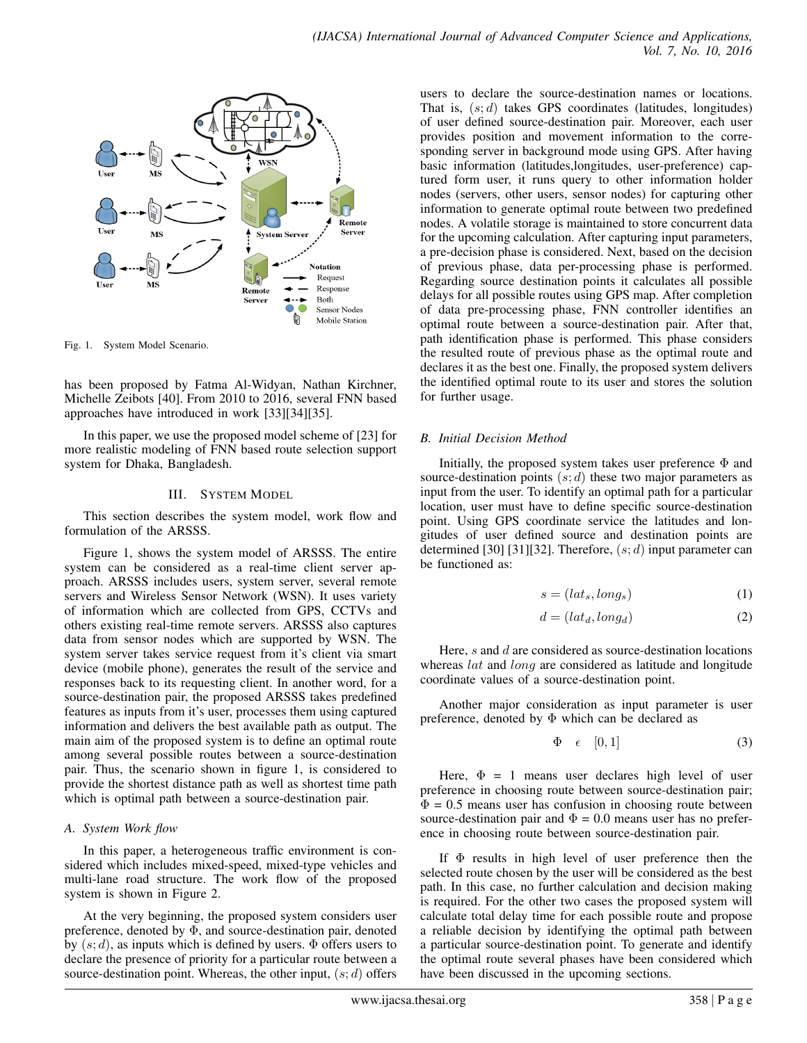

Fig. 1. System Model Scenario.

has been proposed by Fatma Al-Widyan, Nathan Kirchner, Michelle Zeibots [40]. From 2010 to 2016, several FNN based approaches have introduced in work [33][34][35].

In this paper, we use the proposed model scheme of [23] for more realistic modeling of FNN based route selection support system for Dhaka, Bangladesh.

#### III. SYSTEM MODEL

This section describes the system model, work flow and formulation of the ARSSS.

Figure 1, shows the system model of ARSSS. The entire system can be considered as a real-time client server approach. ARSSS includes users, system server, several remote servers and Wireless Sensor Network (WSN). It uses variety of information which are collected from GPS, CCTVs and others existing real-time remote servers. ARSSS also captures data from sensor nodes which are supported by WSN. The system server takes service request from it's client via smart device (mobile phone), generates the result of the service and responses back to its requesting client. In another word, for a source-destination pair, the proposed ARSSS takes predefined features as inputs from it's user, processes them using captured information and delivers the best available path as output. The main aim of the proposed system is to define an optimal route among several possible routes between a source-destination pair. Thus, the scenario shown in figure 1, is considered to provide the shortest distance path as well as shortest time path which is optimal path between a source-destination pair.

# *A. System Work flow*

In this paper, a heterogeneous traffic environment is considered which includes mixed-speed, mixed-type vehicles and multi-lane road structure. The work flow of the proposed system is shown in Figure 2.

At the very beginning, the proposed system considers user preference, denoted by  $\Phi$ , and source-destination pair, denoted by  $(s; d)$ , as inputs which is defined by users.  $\Phi$  offers users to declare the presence of priority for a particular route between a source-destination point. Whereas, the other input,  $(s; d)$  offers

users to declare the source-destination names or locations. That is,  $(s; d)$  takes GPS coordinates (latitudes, longitudes) of user defined source-destination pair. Moreover, each user provides position and movement information to the corresponding server in background mode using GPS. After having basic information (latitudes,longitudes, user-preference) captured form user, it runs query to other information holder nodes (servers, other users, sensor nodes) for capturing other information to generate optimal route between two predefined nodes. A volatile storage is maintained to store concurrent data for the upcoming calculation. After capturing input parameters, a pre-decision phase is considered. Next, based on the decision of previous phase, data per-processing phase is performed. Regarding source destination points it calculates all possible delays for all possible routes using GPS map. After completion of data pre-processing phase, FNN controller identifies an optimal route between a source-destination pair. After that, path identification phase is performed. This phase considers the resulted route of previous phase as the optimal route and declares it as the best one. Finally, the proposed system delivers the identified optimal route to its user and stores the solution for further usage.

# *B. Initial Decision Method*

Initially, the proposed system takes user preference  $\Phi$  and source-destination points  $(s; d)$  these two major parameters as input from the user. To identify an optimal path for a particular location, user must have to define specific source-destination point. Using GPS coordinate service the latitudes and longitudes of user defined source and destination points are determined [30] [31][32]. Therefore,  $(s; d)$  input parameter can be functioned as:

$$
s = (lat_s, long_s) \tag{1}
$$

$$
d = (lat_d, long_d) \tag{2}
$$

Here, s and d are considered as source-destination locations whereas *lat* and *long* are considered as latitude and longitude coordinate values of a source-destination point.

Another major consideration as input parameter is user preference, denoted by  $\Phi$  which can be declared as

$$
\Phi \quad \epsilon \quad [0,1] \tag{3}
$$

Here,  $\Phi = 1$  means user declares high level of user preference in choosing route between source-destination pair;  $\Phi = 0.5$  means user has confusion in choosing route between source-destination pair and  $\Phi = 0.0$  means user has no preference in choosing route between source-destination pair.

If  $\Phi$  results in high level of user preference then the selected route chosen by the user will be considered as the best path. In this case, no further calculation and decision making is required. For the other two cases the proposed system will calculate total delay time for each possible route and propose a reliable decision by identifying the optimal path between a particular source-destination point. To generate and identify the optimal route several phases have been considered which have been discussed in the upcoming sections.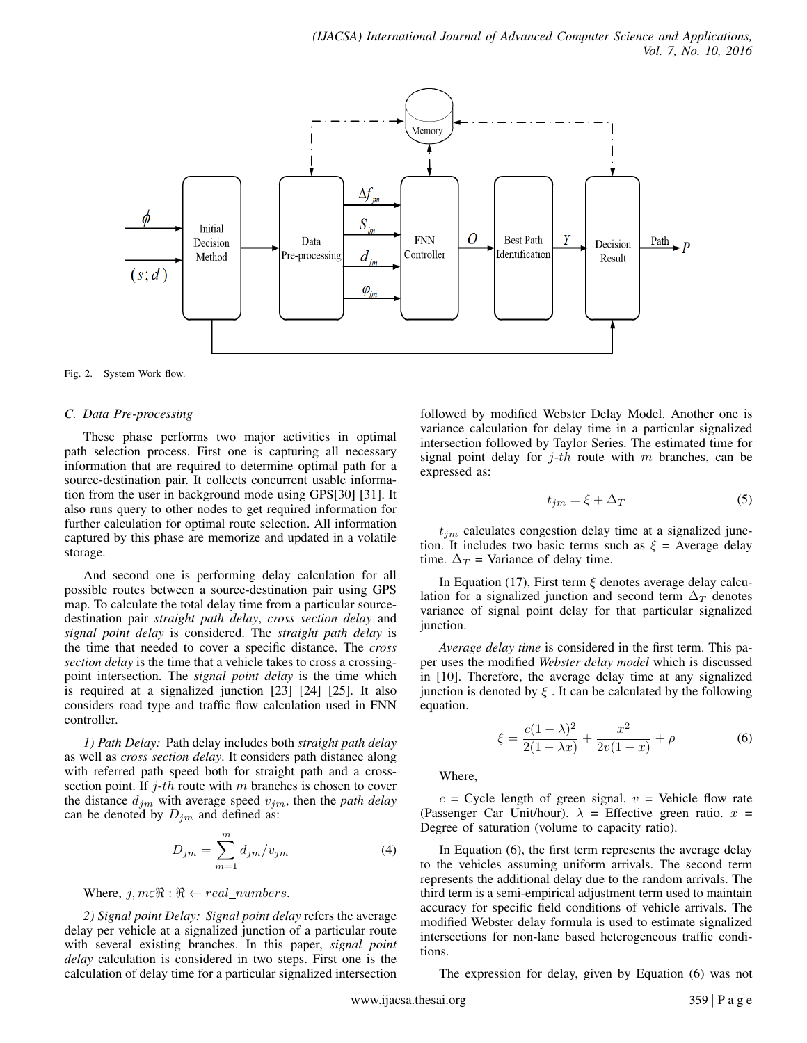

Fig. 2. System Work flow.

#### *C. Data Pre-processing*

These phase performs two major activities in optimal path selection process. First one is capturing all necessary information that are required to determine optimal path for a source-destination pair. It collects concurrent usable information from the user in background mode using GPS[30] [31]. It also runs query to other nodes to get required information for further calculation for optimal route selection. All information captured by this phase are memorize and updated in a volatile storage.

And second one is performing delay calculation for all possible routes between a source-destination pair using GPS map. To calculate the total delay time from a particular sourcedestination pair *straight path delay*, *cross section delay* and *signal point delay* is considered. The *straight path delay* is the time that needed to cover a specific distance. The *cross section delay* is the time that a vehicle takes to cross a crossingpoint intersection. The *signal point delay* is the time which is required at a signalized junction [23] [24] [25]. It also considers road type and traffic flow calculation used in FNN controller.

*1) Path Delay:* Path delay includes both *straight path delay* as well as *cross section delay*. It considers path distance along with referred path speed both for straight path and a crosssection point. If  $j$ -th route with m branches is chosen to cover the distance  $d_{jm}$  with average speed  $v_{jm}$ , then the *path delay* can be denoted by  $D_{im}$  and defined as:

$$
D_{jm} = \sum_{m=1}^{m} d_{jm} / v_{jm} \tag{4}
$$

#### Where,  $j, m \in \mathbb{R} : \mathbb{R} \leftarrow real \ numbers$ .

*2) Signal point Delay: Signal point delay* refers the average delay per vehicle at a signalized junction of a particular route with several existing branches. In this paper, *signal point delay* calculation is considered in two steps. First one is the calculation of delay time for a particular signalized intersection followed by modified Webster Delay Model. Another one is variance calculation for delay time in a particular signalized intersection followed by Taylor Series. The estimated time for signal point delay for  $j$ -th route with m branches, can be expressed as:

$$
t_{jm} = \xi + \Delta_T \tag{5}
$$

 $t_{jm}$  calculates congestion delay time at a signalized junction. It includes two basic terms such as  $\xi$  = Average delay time.  $\Delta_T$  = Variance of delay time.

In Equation (17), First term  $\xi$  denotes average delay calculation for a signalized junction and second term  $\Delta_T$  denotes variance of signal point delay for that particular signalized junction.

*Average delay time* is considered in the first term. This paper uses the modified *Webster delay model* which is discussed in [10]. Therefore, the average delay time at any signalized junction is denoted by  $\xi$ . It can be calculated by the following equation.

$$
\xi = \frac{c(1-\lambda)^2}{2(1-\lambda x)} + \frac{x^2}{2v(1-x)} + \rho \tag{6}
$$

Where,

 $c =$  Cycle length of green signal.  $v =$  Vehicle flow rate (Passenger Car Unit/hour).  $\lambda$  = Effective green ratio.  $x$  = Degree of saturation (volume to capacity ratio).

In Equation (6), the first term represents the average delay to the vehicles assuming uniform arrivals. The second term represents the additional delay due to the random arrivals. The third term is a semi-empirical adjustment term used to maintain accuracy for specific field conditions of vehicle arrivals. The modified Webster delay formula is used to estimate signalized intersections for non-lane based heterogeneous traffic conditions.

The expression for delay, given by Equation (6) was not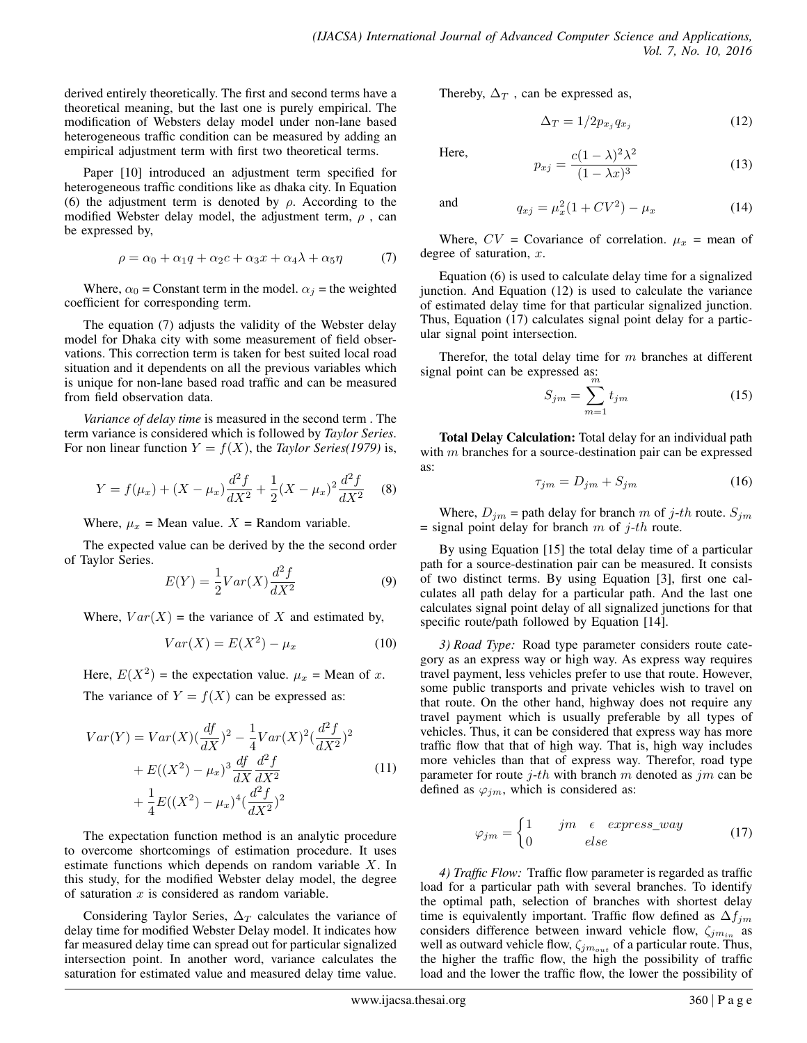derived entirely theoretically. The first and second terms have a theoretical meaning, but the last one is purely empirical. The modification of Websters delay model under non-lane based heterogeneous traffic condition can be measured by adding an empirical adjustment term with first two theoretical terms.

Paper [10] introduced an adjustment term specified for heterogeneous traffic conditions like as dhaka city. In Equation (6) the adjustment term is denoted by  $\rho$ . According to the modified Webster delay model, the adjustment term,  $\rho$ , can be expressed by,

$$
\rho = \alpha_0 + \alpha_1 q + \alpha_2 c + \alpha_3 x + \alpha_4 \lambda + \alpha_5 \eta \tag{7}
$$

Where,  $\alpha_0$  = Constant term in the model.  $\alpha_j$  = the weighted coefficient for corresponding term.

The equation (7) adjusts the validity of the Webster delay model for Dhaka city with some measurement of field observations. This correction term is taken for best suited local road situation and it dependents on all the previous variables which is unique for non-lane based road traffic and can be measured from field observation data.

*Variance of delay time* is measured in the second term . The term variance is considered which is followed by *Taylor Series*. For non linear function  $Y = f(X)$ , the *Taylor Series*(1979) is,

$$
Y = f(\mu_x) + (X - \mu_x) \frac{d^2 f}{dX^2} + \frac{1}{2} (X - \mu_x)^2 \frac{d^2 f}{dX^2}
$$
 (8)

Where,  $\mu_x$  = Mean value.  $X$  = Random variable.

The expected value can be derived by the the second order of Taylor Series.

$$
E(Y) = \frac{1}{2}Var(X)\frac{d^2f}{dX^2}
$$
\n(9)

Where,  $Var(X)$  = the variance of X and estimated by,

$$
Var(X) = E(X2) - \mu_x \tag{10}
$$

Here,  $E(X^2)$  = the expectation value.  $\mu_x$  = Mean of x.

The variance of  $Y = f(X)$  can be expressed as:

$$
Var(Y) = Var(X)\left(\frac{df}{dX}\right)^2 - \frac{1}{4}Var(X)^2\left(\frac{d^2f}{dX^2}\right)^2
$$
  
+  $E((X^2) - \mu_x)^3 \frac{df}{dX} \frac{d^2f}{dX^2}$  (11)  
+  $\frac{1}{4}E((X^2) - \mu_x)^4\left(\frac{d^2f}{dX^2}\right)^2$ 

The expectation function method is an analytic procedure to overcome shortcomings of estimation procedure. It uses estimate functions which depends on random variable X. In this study, for the modified Webster delay model, the degree of saturation  $x$  is considered as random variable.

Considering Taylor Series,  $\Delta_T$  calculates the variance of delay time for modified Webster Delay model. It indicates how far measured delay time can spread out for particular signalized intersection point. In another word, variance calculates the saturation for estimated value and measured delay time value.

Thereby,  $\Delta_T$ , can be expressed as,

$$
\Delta_T = 1/2 p_{x_j} q_{x_j} \tag{12}
$$

Here,

$$
p_{xj} = \frac{c(1-\lambda)^2 \lambda^2}{(1-\lambda x)^3} \tag{13}
$$

and 
$$
q_{xj} = \mu_x^2 (1 + CV^2) - \mu_x
$$
 (14)

Where,  $CV = Covariance$  of correlation.  $\mu_x$  = mean of degree of saturation,  $x$ .

Equation (6) is used to calculate delay time for a signalized junction. And Equation (12) is used to calculate the variance of estimated delay time for that particular signalized junction. Thus, Equation (17) calculates signal point delay for a particular signal point intersection.

Therefor, the total delay time for  $m$  branches at different signal point can be expressed as:

$$
S_{jm} = \sum_{m=1}^{m} t_{jm} \tag{15}
$$

**Total Delay Calculation:** Total delay for an individual path with m branches for a source-destination pair can be expressed as:

$$
\tau_{jm} = D_{jm} + S_{jm} \tag{16}
$$

Where,  $D_{jm}$  = path delay for branch m of j-th route.  $S_{jm}$  $=$  signal point delay for branch m of j-th route.

By using Equation [15] the total delay time of a particular path for a source-destination pair can be measured. It consists of two distinct terms. By using Equation [3], first one calculates all path delay for a particular path. And the last one calculates signal point delay of all signalized junctions for that specific route/path followed by Equation [14].

*3) Road Type:* Road type parameter considers route category as an express way or high way. As express way requires travel payment, less vehicles prefer to use that route. However, some public transports and private vehicles wish to travel on that route. On the other hand, highway does not require any travel payment which is usually preferable by all types of vehicles. Thus, it can be considered that express way has more traffic flow that that of high way. That is, high way includes more vehicles than that of express way. Therefor, road type parameter for route  $j$ -th with branch m denoted as  $jm$  can be defined as  $\varphi_{jm}$ , which is considered as:

$$
\varphi_{jm} = \begin{cases} 1 & jm \quad \epsilon \quad express\_way \\ 0 & else \end{cases}
$$
 (17)

*4) Traffic Flow:* Traffic flow parameter is regarded as traffic load for a particular path with several branches. To identify the optimal path, selection of branches with shortest delay time is equivalently important. Traffic flow defined as  $\Delta f_{im}$ considers difference between inward vehicle flow,  $\zeta_{j m_{in}}$  as well as outward vehicle flow,  $\zeta_{j m_{out}}$  of a particular route. Thus, the higher the traffic flow, the high the possibility of traffic load and the lower the traffic flow, the lower the possibility of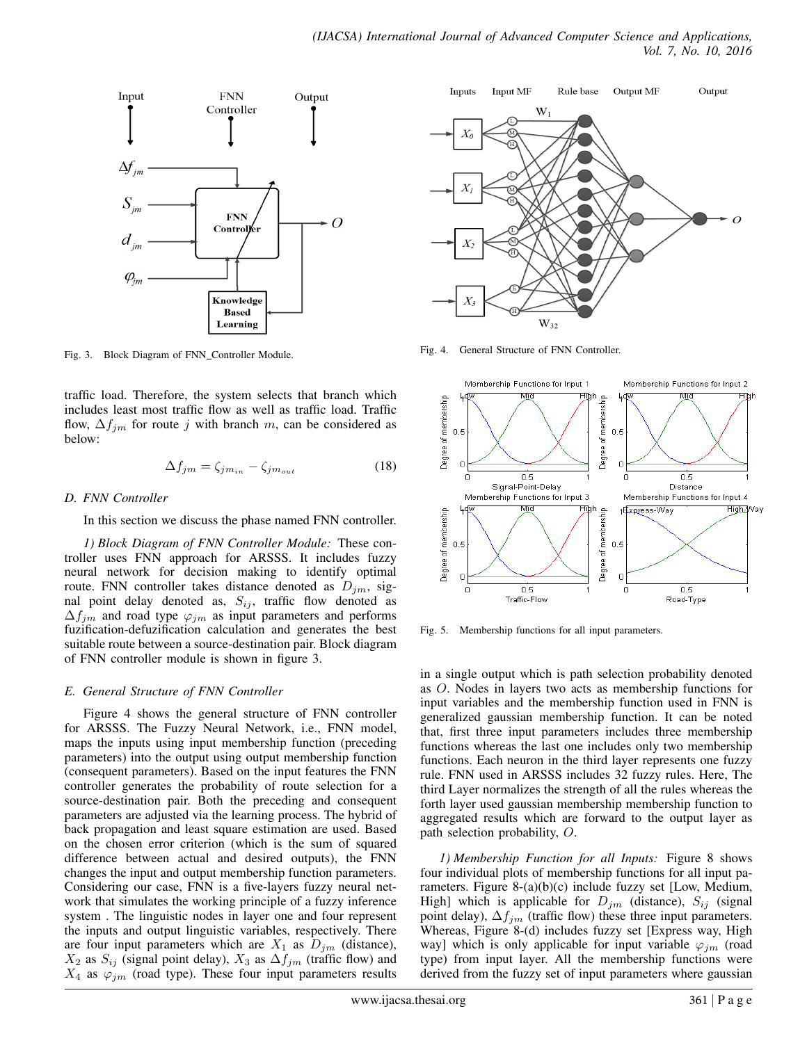

Fig. 3. Block Diagram of FNN Controller Module.

traffic load. Therefore, the system selects that branch which includes least most traffic flow as well as traffic load. Traffic flow,  $\Delta f_{jm}$  for route j with branch m, can be considered as below:

$$
\Delta f_{jm} = \zeta_{jm_{in}} - \zeta_{jm_{out}} \tag{18}
$$

#### *D. FNN Controller*

In this section we discuss the phase named FNN controller.

*1) Block Diagram of FNN Controller Module:* These controller uses FNN approach for ARSSS. It includes fuzzy neural network for decision making to identify optimal route. FNN controller takes distance denoted as  $D_{jm}$ , signal point delay denoted as,  $S_{ij}$ , traffic flow denoted as  $\Delta f_{jm}$  and road type  $\varphi_{jm}$  as input parameters and performs fuzification-defuzification calculation and generates the best suitable route between a source-destination pair. Block diagram of FNN controller module is shown in figure 3.

# *E. General Structure of FNN Controller*

Figure 4 shows the general structure of FNN controller for ARSSS. The Fuzzy Neural Network, i.e., FNN model, maps the inputs using input membership function (preceding parameters) into the output using output membership function (consequent parameters). Based on the input features the FNN controller generates the probability of route selection for a source-destination pair. Both the preceding and consequent parameters are adjusted via the learning process. The hybrid of back propagation and least square estimation are used. Based on the chosen error criterion (which is the sum of squared difference between actual and desired outputs), the FNN changes the input and output membership function parameters. Considering our case, FNN is a five-layers fuzzy neural network that simulates the working principle of a fuzzy inference system . The linguistic nodes in layer one and four represent the inputs and output linguistic variables, respectively. There are four input parameters which are  $X_1$  as  $D_{jm}$  (distance),  $X_2$  as  $S_{ij}$  (signal point delay),  $X_3$  as  $\Delta f_{jm}$  (traffic flow) and  $X_4$  as  $\varphi_{jm}$  (road type). These four input parameters results



Fig. 4. General Structure of FNN Controller.



Fig. 5. Membership functions for all input parameters.

in a single output which is path selection probability denoted as O. Nodes in layers two acts as membership functions for input variables and the membership function used in FNN is generalized gaussian membership function. It can be noted that, first three input parameters includes three membership functions whereas the last one includes only two membership functions. Each neuron in the third layer represents one fuzzy rule. FNN used in ARSSS includes 32 fuzzy rules. Here, The third Layer normalizes the strength of all the rules whereas the forth layer used gaussian membership membership function to aggregated results which are forward to the output layer as path selection probability, O.

*1) Membership Function for all Inputs:* Figure 8 shows four individual plots of membership functions for all input parameters. Figure 8-(a)(b)(c) include fuzzy set [Low, Medium, High] which is applicable for  $D_{jm}$  (distance),  $S_{ij}$  (signal point delay),  $\Delta f_{im}$  (traffic flow) these three input parameters. Whereas, Figure 8-(d) includes fuzzy set [Express way, High way] which is only applicable for input variable  $\varphi_{im}$  (road type) from input layer. All the membership functions were derived from the fuzzy set of input parameters where gaussian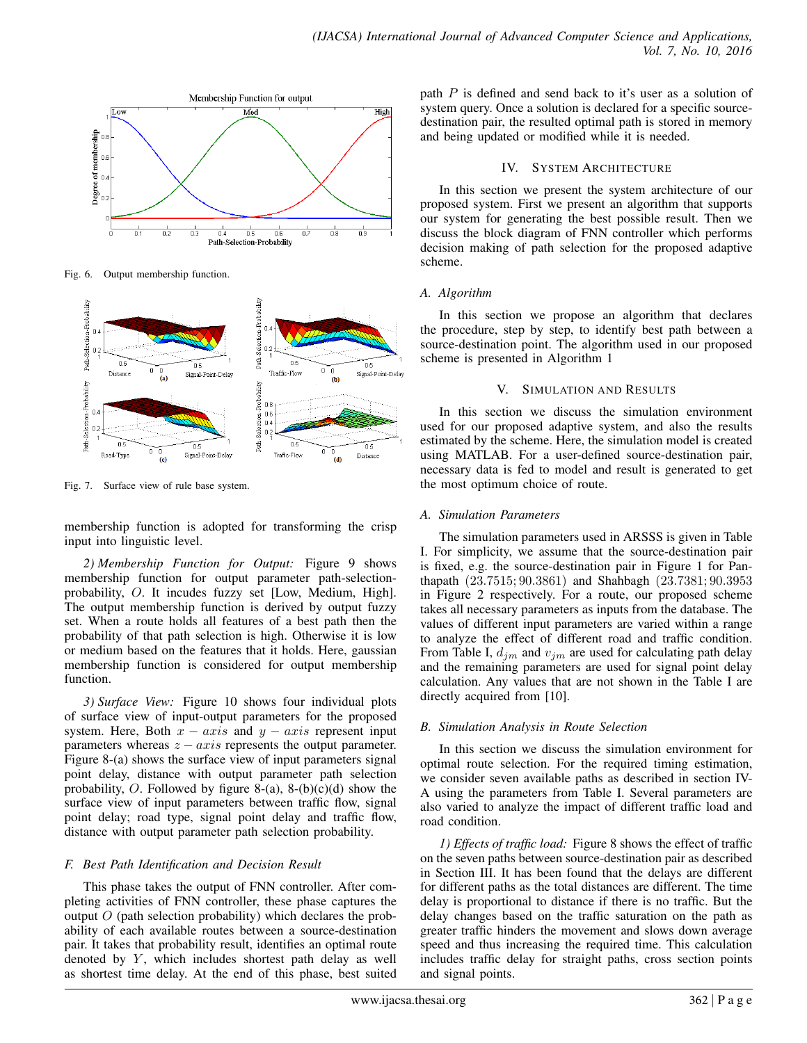

Fig. 6. Output membership function.



Fig. 7. Surface view of rule base system.

membership function is adopted for transforming the crisp input into linguistic level.

*2) Membership Function for Output:* Figure 9 shows membership function for output parameter path-selectionprobability, O. It incudes fuzzy set [Low, Medium, High]. The output membership function is derived by output fuzzy set. When a route holds all features of a best path then the probability of that path selection is high. Otherwise it is low or medium based on the features that it holds. Here, gaussian membership function is considered for output membership function.

*3) Surface View:* Figure 10 shows four individual plots of surface view of input-output parameters for the proposed system. Here, Both  $x - axis$  and  $y - axis$  represent input parameters whereas  $z - axis$  represents the output parameter. Figure 8-(a) shows the surface view of input parameters signal point delay, distance with output parameter path selection probability, O. Followed by figure 8-(a), 8-(b)(c)(d) show the surface view of input parameters between traffic flow, signal point delay; road type, signal point delay and traffic flow, distance with output parameter path selection probability.

# *F. Best Path Identification and Decision Result*

This phase takes the output of FNN controller. After completing activities of FNN controller, these phase captures the output  $O$  (path selection probability) which declares the probability of each available routes between a source-destination pair. It takes that probability result, identifies an optimal route denoted by  $Y$ , which includes shortest path delay as well as shortest time delay. At the end of this phase, best suited path  $P$  is defined and send back to it's user as a solution of system query. Once a solution is declared for a specific sourcedestination pair, the resulted optimal path is stored in memory and being updated or modified while it is needed.

# IV. SYSTEM ARCHITECTURE

In this section we present the system architecture of our proposed system. First we present an algorithm that supports our system for generating the best possible result. Then we discuss the block diagram of FNN controller which performs decision making of path selection for the proposed adaptive scheme.

# *A. Algorithm*

In this section we propose an algorithm that declares the procedure, step by step, to identify best path between a source-destination point. The algorithm used in our proposed scheme is presented in Algorithm 1

# V. SIMULATION AND RESULTS

In this section we discuss the simulation environment used for our proposed adaptive system, and also the results estimated by the scheme. Here, the simulation model is created using MATLAB. For a user-defined source-destination pair, necessary data is fed to model and result is generated to get the most optimum choice of route.

# *A. Simulation Parameters*

The simulation parameters used in ARSSS is given in Table I. For simplicity, we assume that the source-destination pair is fixed, e.g. the source-destination pair in Figure 1 for Panthapath (23.7515; 90.3861) and Shahbagh (23.7381; 90.3953 in Figure 2 respectively. For a route, our proposed scheme takes all necessary parameters as inputs from the database. The values of different input parameters are varied within a range to analyze the effect of different road and traffic condition. From Table I,  $d_{im}$  and  $v_{im}$  are used for calculating path delay and the remaining parameters are used for signal point delay calculation. Any values that are not shown in the Table I are directly acquired from [10].

# *B. Simulation Analysis in Route Selection*

In this section we discuss the simulation environment for optimal route selection. For the required timing estimation, we consider seven available paths as described in section IV-A using the parameters from Table I. Several parameters are also varied to analyze the impact of different traffic load and road condition.

*1) Effects of traffic load:* Figure 8 shows the effect of traffic on the seven paths between source-destination pair as described in Section III. It has been found that the delays are different for different paths as the total distances are different. The time delay is proportional to distance if there is no traffic. But the delay changes based on the traffic saturation on the path as greater traffic hinders the movement and slows down average speed and thus increasing the required time. This calculation includes traffic delay for straight paths, cross section points and signal points.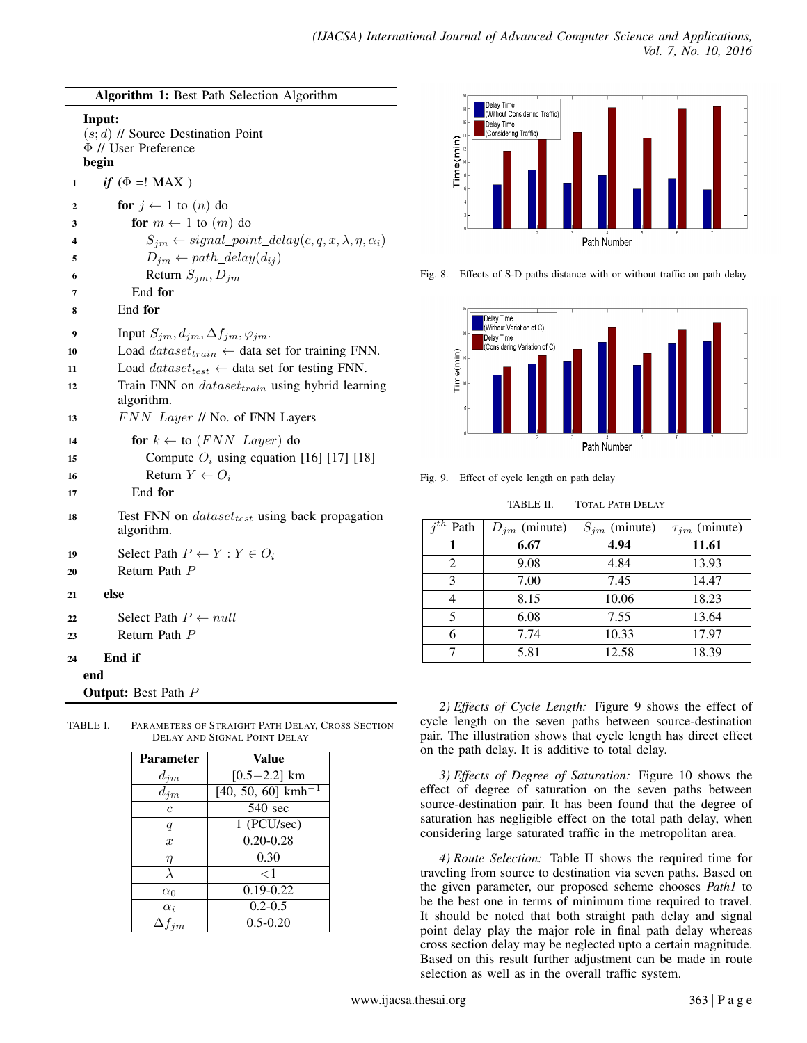|                                                                                      | Algorithm 1: Best Path Selection Algorithm                                                                         |  |  |
|--------------------------------------------------------------------------------------|--------------------------------------------------------------------------------------------------------------------|--|--|
| Input:<br>$(s; d)$ // Source Destination Point<br>$\Phi$ // User Preference<br>begin |                                                                                                                    |  |  |
| 1                                                                                    | <i>if</i> ( $\Phi$ =! MAX)                                                                                         |  |  |
| 2                                                                                    | for $j \leftarrow 1$ to $(n)$ do                                                                                   |  |  |
| 3                                                                                    | for $m \leftarrow 1$ to $(m)$ do                                                                                   |  |  |
| 4                                                                                    | $S_{jm} \leftarrow signal\_point\_delay(c, q, x, \lambda, \eta, \alpha_i)$                                         |  |  |
| 5                                                                                    | $D_{im} \leftarrow path\_delay(d_{ij})$                                                                            |  |  |
| 6                                                                                    | Return $S_{im}, D_{im}$                                                                                            |  |  |
| 7                                                                                    | End for<br>End for                                                                                                 |  |  |
| 8                                                                                    |                                                                                                                    |  |  |
| 9                                                                                    | Input $S_{jm}, d_{jm}, \Delta f_{jm}, \varphi_{jm}$ .                                                              |  |  |
| 10                                                                                   | Load $dataset_{train} \leftarrow$ data set for training FNN.                                                       |  |  |
| 11<br>12                                                                             | Load $dataset_{test} \leftarrow$ data set for testing FNN.<br>Train FNN on $dataset_{train}$ using hybrid learning |  |  |
|                                                                                      | algorithm.                                                                                                         |  |  |
| 13                                                                                   | FNN_Layer // No. of FNN Layers                                                                                     |  |  |
| 14                                                                                   | for $k \leftarrow$ to $(FNN\_Layer)$ do                                                                            |  |  |
| 15                                                                                   | Compute $O_i$ using equation [16] [17] [18]                                                                        |  |  |
| 16                                                                                   | Return $Y \leftarrow O_i$                                                                                          |  |  |
| 17                                                                                   | End for                                                                                                            |  |  |
| 18                                                                                   | Test FNN on <i>dataset<sub>test</sub></i> using back propagation<br>algorithm.                                     |  |  |
| 19                                                                                   | Select Path $P \leftarrow Y : Y \in O_i$                                                                           |  |  |
| 20                                                                                   | Return Path P                                                                                                      |  |  |
| 21                                                                                   | else                                                                                                               |  |  |
| 22                                                                                   | Select Path $P \leftarrow null$                                                                                    |  |  |
| 23                                                                                   | Return Path P                                                                                                      |  |  |
| 24                                                                                   | End if                                                                                                             |  |  |
|                                                                                      | end                                                                                                                |  |  |
| <b>Output:</b> Best Path P                                                           |                                                                                                                    |  |  |
|                                                                                      |                                                                                                                    |  |  |

| TABLE I. | PARAMETERS OF STRAIGHT PATH DELAY, CROSS SECTION |
|----------|--------------------------------------------------|
|          | DELAY AND SIGNAL POINT DELAY                     |

| <b>Parameter</b>    | Value                           |  |
|---------------------|---------------------------------|--|
| $d_{jm}$            | $[0.5 - 2.2]$ km                |  |
| $\overline{d}_{jm}$ | $[40, 50, 60]$ kmh <sup>-</sup> |  |
| $\epsilon$          | 540 sec                         |  |
| q                   | $\overline{1}$ (PCU/sec)        |  |
| $\mathcal{X}$       | $0.20 - 0.28$                   |  |
| η                   | 0.30                            |  |
| $\lambda$           | $<$ 1                           |  |
| $\alpha_0$          | $0.19 - 0.22$                   |  |
| $\alpha_i$          | $0.2 - 0.5$                     |  |
| $\Delta f_{im}$     | $0.5 - 0.20$                    |  |



Fig. 8. Effects of S-D paths distance with or without traffic on path delay



Fig. 9. Effect of cycle length on path delay

TABLE II. TOTAL PATH DELAY

| $i^{th}$<br>Path | $D_{jm}$ (minute) | $S_{jm}$ (minute) | $\tau_{jm}$ (minute) |
|------------------|-------------------|-------------------|----------------------|
|                  | 6.67              | 4.94              | 11.61                |
| 2                | 9.08              | 4.84              | 13.93                |
| 3                | 7.00              | 7.45              | 14.47                |
|                  | 8.15              | 10.06             | 18.23                |
| 5                | 6.08              | 7.55              | 13.64                |
|                  | 7.74              | 10.33             | 17.97                |
|                  | 5.81              | 12.58             | 18.39                |

*2) Effects of Cycle Length:* Figure 9 shows the effect of cycle length on the seven paths between source-destination pair. The illustration shows that cycle length has direct effect on the path delay. It is additive to total delay.

*3) Effects of Degree of Saturation:* Figure 10 shows the effect of degree of saturation on the seven paths between source-destination pair. It has been found that the degree of saturation has negligible effect on the total path delay, when considering large saturated traffic in the metropolitan area.

*4) Route Selection:* Table II shows the required time for traveling from source to destination via seven paths. Based on the given parameter, our proposed scheme chooses *Path1* to be the best one in terms of minimum time required to travel. It should be noted that both straight path delay and signal point delay play the major role in final path delay whereas cross section delay may be neglected upto a certain magnitude. Based on this result further adjustment can be made in route selection as well as in the overall traffic system.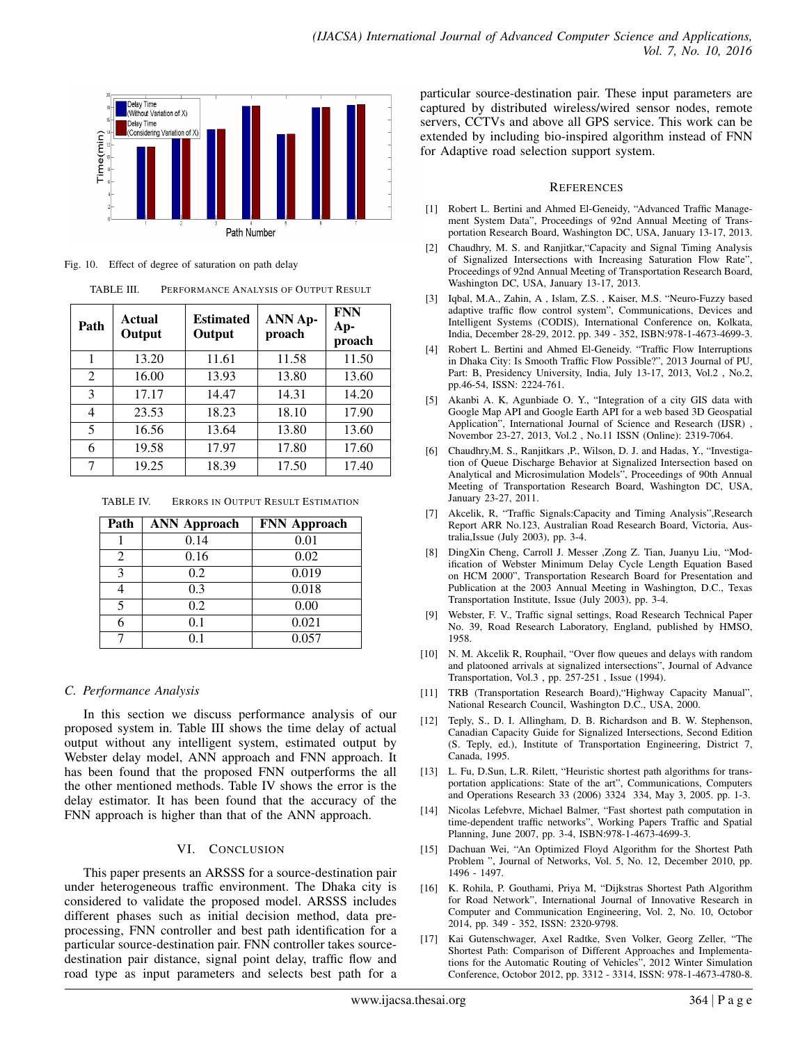

Fig. 10. Effect of degree of saturation on path delay

TABLE III. PERFORMANCE ANALYSIS OF OUTPUT RESULT

| Path | Actual<br>Output | <b>Estimated</b><br>Output | <b>ANN Ap-</b><br>proach | <b>FNN</b><br>Ap-<br>proach |
|------|------------------|----------------------------|--------------------------|-----------------------------|
| 1    | 13.20            | 11.61                      | 11.58                    | 11.50                       |
| 2    | 16.00            | 13.93                      | 13.80                    | 13.60                       |
| 3    | 17.17            | 14.47                      | 14.31                    | 14.20                       |
| 4    | 23.53            | 18.23                      | 18.10                    | 17.90                       |
| 5    | 16.56            | 13.64                      | 13.80                    | 13.60                       |
| 6    | 19.58            | 17.97                      | 17.80                    | 17.60                       |
| 7    | 19.25            | 18.39                      | 17.50                    | 17.40                       |

TABLE IV. ERRORS IN OUTPUT RESULT ESTIMATION

| Path | <b>ANN Approach</b> | FNN Approach |
|------|---------------------|--------------|
|      | 0.14                | 0.01         |
| 2    | 0.16                | 0.02         |
| 3    | 0.2                 | 0.019        |
|      | 0.3                 | 0.018        |
|      | 0.2                 | 0.00         |
|      | 0.1                 | 0.021        |
|      | O 1                 | 0.057        |

# *C. Performance Analysis*

In this section we discuss performance analysis of our proposed system in. Table III shows the time delay of actual output without any intelligent system, estimated output by Webster delay model, ANN approach and FNN approach. It has been found that the proposed FNN outperforms the all the other mentioned methods. Table IV shows the error is the delay estimator. It has been found that the accuracy of the FNN approach is higher than that of the ANN approach.

# VI. CONCLUSION

This paper presents an ARSSS for a source-destination pair under heterogeneous traffic environment. The Dhaka city is considered to validate the proposed model. ARSSS includes different phases such as initial decision method, data preprocessing, FNN controller and best path identification for a particular source-destination pair. FNN controller takes sourcedestination pair distance, signal point delay, traffic flow and road type as input parameters and selects best path for a particular source-destination pair. These input parameters are captured by distributed wireless/wired sensor nodes, remote servers, CCTVs and above all GPS service. This work can be extended by including bio-inspired algorithm instead of FNN for Adaptive road selection support system.

#### **REFERENCES**

- [1] Robert L. Bertini and Ahmed El-Geneidy, "Advanced Traffic Management System Data", Proceedings of 92nd Annual Meeting of Transportation Research Board, Washington DC, USA, January 13-17, 2013.
- [2] Chaudhry, M. S. and Ranjitkar,"Capacity and Signal Timing Analysis of Signalized Intersections with Increasing Saturation Flow Rate", Proceedings of 92nd Annual Meeting of Transportation Research Board, Washington DC, USA, January 13-17, 2013.
- [3] Iqbal, M.A., Zahin, A , Islam, Z.S. , Kaiser, M.S. "Neuro-Fuzzy based adaptive traffic flow control system", Communications, Devices and Intelligent Systems (CODIS), International Conference on, Kolkata, India, December 28-29, 2012. pp. 349 - 352, ISBN:978-1-4673-4699-3.
- [4] Robert L. Bertini and Ahmed El-Geneidy. "Traffic Flow Interruptions in Dhaka City: Is Smooth Traffic Flow Possible?", 2013 Journal of PU, Part: B, Presidency University, India, July 13-17, 2013, Vol.2 , No.2, pp.46-54, ISSN: 2224-761.
- [5] Akanbi A. K, Agunbiade O. Y., "Integration of a city GIS data with Google Map API and Google Earth API for a web based 3D Geospatial Application", International Journal of Science and Research (IJSR) , Novembor 23-27, 2013, Vol.2 , No.11 ISSN (Online): 2319-7064.
- [6] Chaudhry, M. S., Ranjitkars , P., Wilson, D. J. and Hadas, Y., "Investigation of Queue Discharge Behavior at Signalized Intersection based on Analytical and Microsimulation Models", Proceedings of 90th Annual Meeting of Transportation Research Board, Washington DC, USA, January 23-27, 2011.
- [7] Akcelik, R, "Traffic Signals:Capacity and Timing Analysis",Research Report ARR No.123, Australian Road Research Board, Victoria, Australia,Issue (July 2003), pp. 3-4.
- [8] DingXin Cheng, Carroll J. Messer ,Zong Z. Tian, Juanyu Liu, "Modification of Webster Minimum Delay Cycle Length Equation Based on HCM 2000", Transportation Research Board for Presentation and Publication at the 2003 Annual Meeting in Washington, D.C., Texas Transportation Institute, Issue (July 2003), pp. 3-4.
- Webster, F. V., Traffic signal settings, Road Research Technical Paper No. 39, Road Research Laboratory, England, published by HMSO, 1958.
- [10] N. M. Akcelik R, Rouphail, "Over flow queues and delays with random and platooned arrivals at signalized intersections", Journal of Advance Transportation, Vol.3 , pp. 257-251 , Issue (1994).
- [11] TRB (Transportation Research Board), "Highway Capacity Manual", National Research Council, Washington D.C., USA, 2000.
- [12] Teply, S., D. I. Allingham, D. B. Richardson and B. W. Stephenson, Canadian Capacity Guide for Signalized Intersections, Second Edition (S. Teply, ed.), Institute of Transportation Engineering, District 7, Canada, 1995.
- [13] L. Fu, D.Sun, L.R. Rilett, "Heuristic shortest path algorithms for transportation applications: State of the art", Communications, Computers and Operations Research 33 (2006) 3324 334, May 3, 2005. pp. 1-3.
- [14] Nicolas Lefebvre, Michael Balmer, "Fast shortest path computation in time-dependent traffic networks", Working Papers Traffic and Spatial Planning, June 2007, pp. 3-4, ISBN:978-1-4673-4699-3.
- [15] Dachuan Wei, "An Optimized Floyd Algorithm for the Shortest Path Problem ", Journal of Networks, Vol. 5, No. 12, December 2010, pp. 1496 - 1497.
- [16] K. Rohila, P. Gouthami, Priya M, "Dijkstras Shortest Path Algorithm for Road Network", International Journal of Innovative Research in Computer and Communication Engineering, Vol. 2, No. 10, Octobor 2014, pp. 349 - 352, ISSN: 2320-9798.
- [17] Kai Gutenschwager, Axel Radtke, Sven Volker, Georg Zeller, "The Shortest Path: Comparison of Different Approaches and Implementations for the Automatic Routing of Vehicles", 2012 Winter Simulation Conference, Octobor 2012, pp. 3312 - 3314, ISSN: 978-1-4673-4780-8.